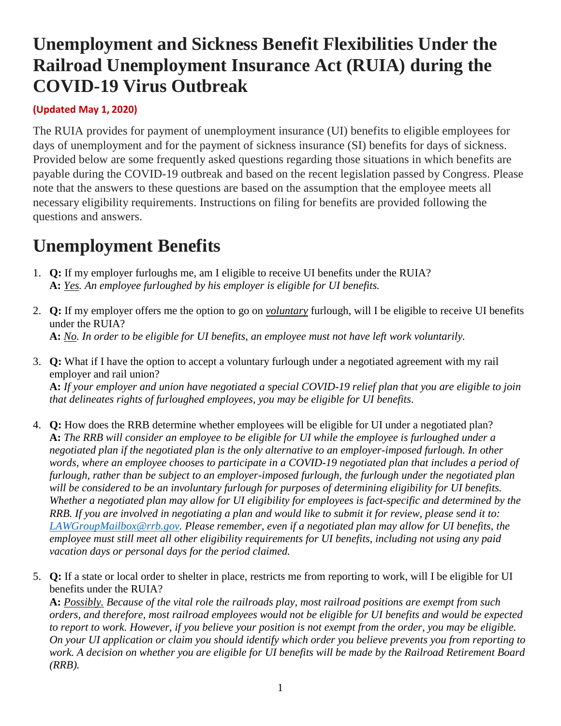# **Unemployment and Sickness Benefit Flexibilities Under the Railroad Unemployment Insurance Act (RUIA) during the COVID-19 Virus Outbreak**

#### **(Updated May 1, 2020)**

The RUIA provides for payment of unemployment insurance (UI) benefits to eligible employees for days of unemployment and for the payment of sickness insurance (SI) benefits for days of sickness. Provided below are some frequently asked questions regarding those situations in which benefits are payable during the COVID-19 outbreak and based on the recent legislation passed by Congress. Please note that the answers to these questions are based on the assumption that the employee meets all necessary eligibility requirements. Instructions on filing for benefits are provided following the questions and answers.

## **Unemployment Benefits**

- 1. **Q:** If my employer furloughs me, am I eligible to receive UI benefits under the RUIA? **A:** *Yes. An employee furloughed by his employer is eligible for UI benefits.*
- 2. **Q:** If my employer offers me the option to go on *voluntary* furlough, will I be eligible to receive UI benefits under the RUIA? **A:** *No. In order to be eligible for UI benefits, an employee must not have left work voluntarily.*
- 3. **Q:** What if I have the option to accept a voluntary furlough under a negotiated agreement with my rail employer and rail union? **A:** *If your employer and union have negotiated a special COVID-19 relief plan that you are eligible to join that delineates rights of furloughed employees, you may be eligible for UI benefits.*
- 4. **Q:** How does the RRB determine whether employees will be eligible for UI under a negotiated plan? **A:** *The RRB will consider an employee to be eligible for UI while the employee is furloughed under a negotiated plan if the negotiated plan is the only alternative to an employer-imposed furlough. In other words, where an employee chooses to participate in a COVID-19 negotiated plan that includes a period of furlough, rather than be subject to an employer-imposed furlough, the furlough under the negotiated plan will be considered to be an involuntary furlough for purposes of determining eligibility for UI benefits. Whether a negotiated plan may allow for UI eligibility for employees is fact-specific and determined by the RRB. If you are involved in negotiating a plan and would like to submit it for review, please send it to: [LAWGroupMailbox@rrb.gov.](mailto:LAWGroupMailbox@rrb.gov) Please remember, even if a negotiated plan may allow for UI benefits, the employee must still meet all other eligibility requirements for UI benefits, including not using any paid vacation days or personal days for the period claimed.*
- 5. **Q:** If a state or local order to shelter in place, restricts me from reporting to work, will I be eligible for UI benefits under the RUIA?

**A:** *Possibly. Because of the vital role the railroads play, most railroad positions are exempt from such orders, and therefore, most railroad employees would not be eligible for UI benefits and would be expected to report to work. However, if you believe your position is not exempt from the order, you may be eligible. On your UI application or claim you should identify which order you believe prevents you from reporting to work. A decision on whether you are eligible for UI benefits will be made by the Railroad Retirement Board (RRB).*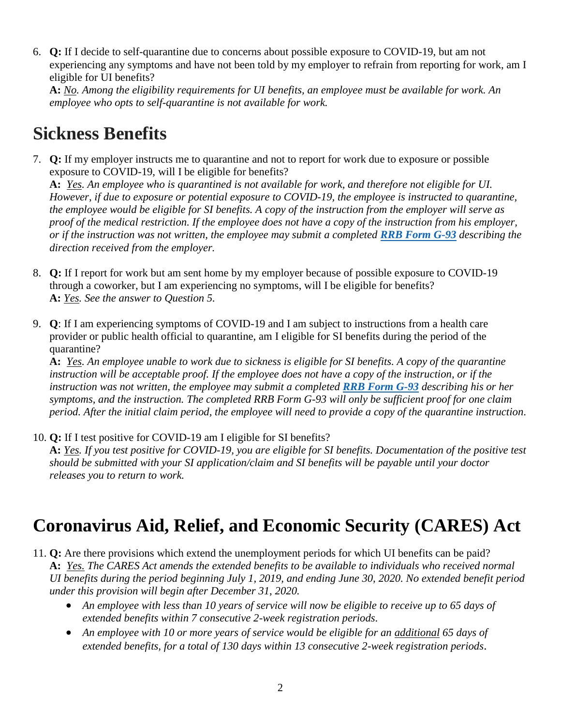6. **Q:** If I decide to self-quarantine due to concerns about possible exposure to COVID-19, but am not experiencing any symptoms and have not been told by my employer to refrain from reporting for work, am I eligible for UI benefits?

**A:** *No. Among the eligibility requirements for UI benefits, an employee must be available for work. An employee who opts to self-quarantine is not available for work.*

## **Sickness Benefits**

7. **Q:** If my employer instructs me to quarantine and not to report for work due to exposure or possible exposure to COVID-19, will I be eligible for benefits?

**A:** *Yes. An employee who is quarantined is not available for work, and therefore not eligible for UI. However, if due to exposure or potential exposure to COVID-19, the employee is instructed to quarantine, the employee would be eligible for SI benefits. A copy of the instruction from the employer will serve as proof of the medical restriction. If the employee does not have a copy of the instruction from his employer, or if the instruction was not written, the employee may submit a completed [RRB Form G-93](https://rrb.gov/sites/default/files/2020-04/G-93%20%2809-18%29%20Statement%20of%20Clmnt%20or%20Other%20Person.pdf) describing the direction received from the employer.*

- 8. **Q:** If I report for work but am sent home by my employer because of possible exposure to COVID-19 through a coworker, but I am experiencing no symptoms, will I be eligible for benefits? **A:** *Yes. See the answer to Question 5.*
- 9. **Q**: If I am experiencing symptoms of COVID-19 and I am subject to instructions from a health care provider or public health official to quarantine, am I eligible for SI benefits during the period of the quarantine?

**A:** *Yes. An employee unable to work due to sickness is eligible for SI benefits. A copy of the quarantine instruction will be acceptable proof. If the employee does not have a copy of the instruction, or if the instruction was not written, the employee may submit a completed [RRB Form G-93](https://rrb.gov/sites/default/files/2020-04/G-93%20%2809-18%29%20Statement%20of%20Clmnt%20or%20Other%20Person.pdf) describing his or her symptoms, and the instruction. The completed RRB Form G-93 will only be sufficient proof for one claim period. After the initial claim period, the employee will need to provide a copy of the quarantine instruction.*

10. **Q:** If I test positive for COVID-19 am I eligible for SI benefits?

**A:** *Yes. If you test positive for COVID-19, you are eligible for SI benefits. Documentation of the positive test should be submitted with your SI application/claim and SI benefits will be payable until your doctor releases you to return to work.*

## **Coronavirus Aid, Relief, and Economic Security (CARES) Act**

- 11. **Q:** Are there provisions which extend the unemployment periods for which UI benefits can be paid? **A:** *Yes. The CARES Act amends the extended benefits to be available to individuals who received normal UI benefits during the period beginning July 1, 2019, and ending June 30, 2020. No extended benefit period under this provision will begin after December 31, 2020.*
	- *An employee with less than 10 years of service will now be eligible to receive up to 65 days of extended benefits within 7 consecutive 2-week registration periods.*
	- *An employee with 10 or more years of service would be eligible for an additional 65 days of extended benefits, for a total of 130 days within 13 consecutive 2-week registration periods*.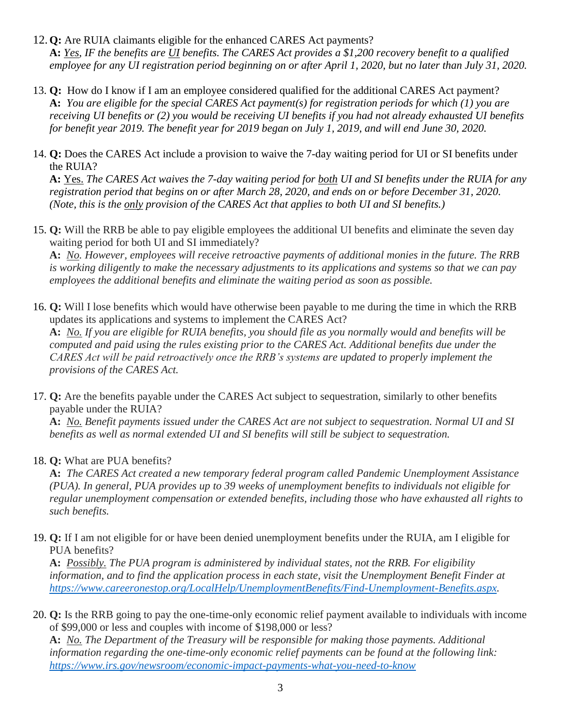- 12.**Q:** Are RUIA claimants eligible for the enhanced CARES Act payments? **A:** *Yes, IF the benefits are UI benefits. The CARES Act provides a \$1,200 recovery benefit to a qualified employee for any UI registration period beginning on or after April 1, 2020, but no later than July 31, 2020.*
- 13. **Q:** How do I know if I am an employee considered qualified for the additional CARES Act payment? **A:** *You are eligible for the special CARES Act payment(s) for registration periods for which (1) you are receiving UI benefits or (2) you would be receiving UI benefits if you had not already exhausted UI benefits for benefit year 2019. The benefit year for 2019 began on July 1, 2019, and will end June 30, 2020.*
- 14. **Q:** Does the CARES Act include a provision to waive the 7-day waiting period for UI or SI benefits under the RUIA?

**A:** Yes. *The CARES Act waives the 7-day waiting period for both UI and SI benefits under the RUIA for any registration period that begins on or after March 28, 2020, and ends on or before December 31, 2020. (Note, this is the only provision of the CARES Act that applies to both UI and SI benefits.)*

15. **Q:** Will the RRB be able to pay eligible employees the additional UI benefits and eliminate the seven day waiting period for both UI and SI immediately?

**A:** *No. However, employees will receive retroactive payments of additional monies in the future. The RRB is working diligently to make the necessary adjustments to its applications and systems so that we can pay employees the additional benefits and eliminate the waiting period as soon as possible.*

16. **Q:** Will I lose benefits which would have otherwise been payable to me during the time in which the RRB updates its applications and systems to implement the CARES Act?

**A:** *No. If you are eligible for RUIA benefits, you should file as you normally would and benefits will be computed and paid using the rules existing prior to the CARES Act. Additional benefits due under the CARES Act will be paid retroactively once the RRB's systems are updated to properly implement the provisions of the CARES Act.*

17. **Q:** Are the benefits payable under the CARES Act subject to sequestration, similarly to other benefits payable under the RUIA?

**A:** *No. Benefit payments issued under the CARES Act are not subject to sequestration. Normal UI and SI benefits as well as normal extended UI and SI benefits will still be subject to sequestration.*

18. **Q:** What are PUA benefits?

**A:** *The CARES Act created a new temporary federal program called Pandemic Unemployment Assistance (PUA). In general, PUA provides up to 39 weeks of unemployment benefits to individuals not eligible for regular unemployment compensation or extended benefits, including those who have exhausted all rights to such benefits.*

19. **Q:** If I am not eligible for or have been denied unemployment benefits under the RUIA, am I eligible for PUA benefits?

**A:** *Possibly. The PUA program is administered by individual states, not the RRB. For eligibility information, and to find the application process in each state, visit the Unemployment Benefit Finder at [https://www.careeronestop.org/LocalHelp/UnemploymentBenefits/Find-Unemployment-Benefits.aspx.](https://www.careeronestop.org/LocalHelp/UnemploymentBenefits/Find-Unemployment-Benefits.aspx)*

20. **Q:** Is the RRB going to pay the one-time-only economic relief payment available to individuals with income of \$99,000 or less and couples with income of \$198,000 or less?

**A:** *No. The Department of the Treasury will be responsible for making those payments. Additional information regarding the one-time-only economic relief payments can be found at the following link: [https://www.irs.gov/newsroom/economic-impact-payments-what-you-need-to-know](https://rrbexchcas01.usrrb.ad.local/owa/redir.aspx?C=-k5Ta3jixtIKYRd7G_id95F865PHlmntmok_yiBTKSnhxFwojNbXCA..&URL=https%3a%2f%2fwww.irs.gov%2fnewsroom%2feconomic-impact-payments-what-you-need-to-know)*